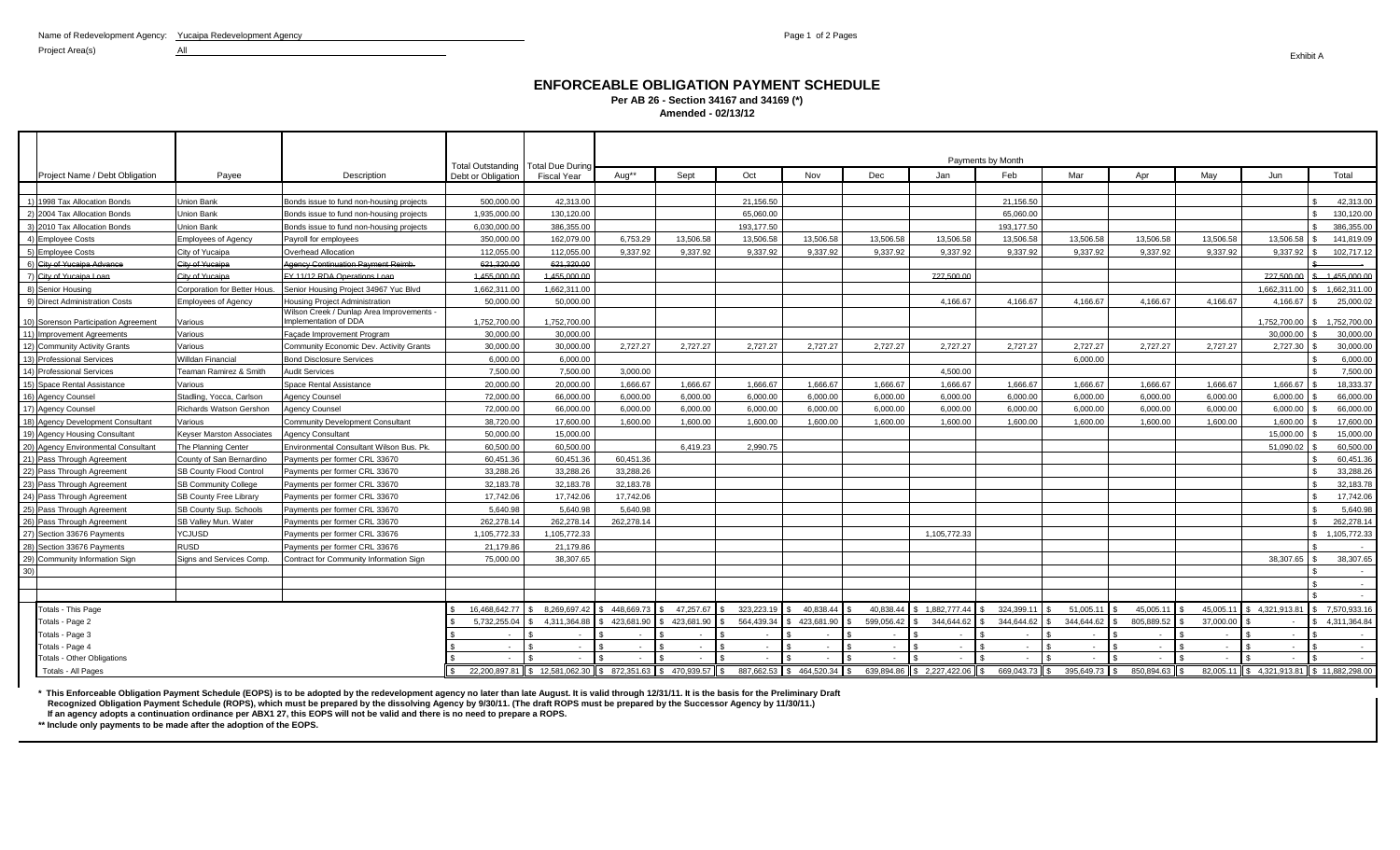Project Area(s) All

## **ENFORCEABLE OBLIGATION PAYMENT SCHEDULE Per AB 26 - Section 34167 and 34169 (\*) Amended - 02/13/12**

|                                      |                                  |                                                                    |                    | Total Outstanding   Total Due During                          | Payments by Month |            |            |                         |            |                               |            |               |            |           |                                        |                 |
|--------------------------------------|----------------------------------|--------------------------------------------------------------------|--------------------|---------------------------------------------------------------|-------------------|------------|------------|-------------------------|------------|-------------------------------|------------|---------------|------------|-----------|----------------------------------------|-----------------|
| Project Name / Debt Obligation       | Payee                            | Description                                                        | Debt or Obligation | Fiscal Year                                                   | Aug**             | Sept       | Oct        | Nov                     | Dec        | Jan                           | Feb        | Mar           | Apr        | May       | Jun                                    | Total           |
|                                      |                                  |                                                                    |                    |                                                               |                   |            |            |                         |            |                               |            |               |            |           |                                        |                 |
| 1) 1998 Tax Allocation Bonds         | <b>Union Bank</b>                | Bonds issue to fund non-housing projects                           | 500.000.00         | 42.313.00                                                     |                   |            | 21.156.50  |                         |            |                               | 21.156.50  |               |            |           |                                        | 42.313.00       |
| 2) 2004 Tax Allocation Bonds         | Union Bank                       | Bonds issue to fund non-housing projects                           | 1,935,000.00       | 130,120.00                                                    |                   |            | 65,060.00  |                         |            |                               | 65.060.00  |               |            |           |                                        | 130,120.00      |
| 3) 2010 Tax Allocation Bonds         | <b>Union Bank</b>                | Bonds issue to fund non-housing projects                           | 6.030.000.00       | 386.355.00                                                    |                   |            | 193.177.50 |                         |            |                               | 193.177.50 |               |            |           |                                        | 386.355.00      |
| 4) Employee Costs                    | <b>Employees of Agency</b>       | Payroll for employees                                              | 350,000,00         | 162.079.00                                                    | 6.753.29          | 13.506.58  | 13.506.58  | 13.506.58               | 13,506.58  | 13.506.58                     | 13.506.58  | 13.506.58     | 13.506.58  | 13.506.58 | 13.506.58                              | 141.819.09      |
| 5) Employee Costs                    | City of Yucaipa                  | Overhead Allocation                                                | 112.055.00         | 112.055.00                                                    | 9.337.92          | 9.337.92   | 9.337.92   | 9.337.92                | 9.337.92   | 9.337.92                      | 9.337.92   | 9.337.92      | 9.337.92   | 9.337.92  | 9.337.92                               | 102,717.12      |
| 6) City of Yucaipa Advance           | <b>City of Yucaipa</b>           | Agency Continuation Payment Reimb.                                 | 621,320.00         | 621.320.00                                                    |                   |            |            |                         |            |                               |            |               |            |           |                                        |                 |
| 7) City of Yucaipa Loan              | <b>City of Yucaipa</b>           | FY 11/12 RDA Operations Loan                                       | 4.455.000.00       | 4.455.000.00                                                  |                   |            |            |                         |            | 727.500.00                    |            |               |            |           | 727.500.00                             | $-4.455.000.00$ |
| 8) Senior Housing                    | Corporation for Better Hous.     | Senior Housing Project 34967 Yuc Blvd                              | 1,662,311.00       | 1.662.311.00                                                  |                   |            |            |                         |            |                               |            |               |            |           | 1,662,311.00                           | 1,662,311.00    |
| 9) Direct Administration Costs       | <b>Employees of Agency</b>       | <b>Housing Project Administration</b>                              | 50.000.00          | 50.000.00                                                     |                   |            |            |                         |            | 4.166.67                      | 4.166.67   | 4.166.67      | 4.166.67   | 4.166.67  | 4.166.67                               | 25.000.02       |
| 10) Sorenson Participation Agreement | Various                          | Wilson Creek / Dunlap Area Improvements -<br>Implementation of DDA | 1,752,700.00       | 1,752,700.00                                                  |                   |            |            |                         |            |                               |            |               |            |           | 1,752,700.00 \$                        | 1,752,700.00    |
| 11) Improvement Agreements           | Various                          | Facade Improvement Program                                         | 30.000.00          | 30.000.00                                                     |                   |            |            |                         |            |                               |            |               |            |           | 30.000.00                              | 30.000.00       |
| 12) Community Activity Grants        | Various                          | Community Economic Dev. Activity Grants                            | 30.000.00          | 30.000.00                                                     | 2.727.27          | 2.727.27   | 2.727.27   | 2.727.27                | 2.727.27   | 2.727.27                      | 2.727.27   | 2.727.27      | 2.727.27   | 2.727.27  | 2,727.30                               | 30,000,00       |
| 13) Professional Services            | <b>Willdan Financial</b>         | <b>Bond Disclosure Services</b>                                    | 6.000.00           | 6.000.00                                                      |                   |            |            |                         |            |                               |            | 6.000.00      |            |           |                                        | 6.000.00        |
| 14) Professional Services            | Teaman Ramirez & Smith           | <b>Audit Services</b>                                              | 7.500.00           | 7.500.00                                                      | 3.000.00          |            |            |                         |            | 4.500.00                      |            |               |            |           |                                        | 7.500.00        |
| 15) Space Rental Assistance          | Various                          | Space Rental Assistance                                            | 20,000,00          | 20.000.00                                                     | 1.666.67          | 1.666.67   | 1.666.67   | 1.666.67                | 1.666.67   | 1.666.67                      | 1.666.67   | 1.666.67      | 1.666.67   | 1.666.67  | 1.666.67                               | 18.333.37       |
| 16) Agency Counsel                   | Stadling, Yocca, Carlson         | <b>Agency Counsel</b>                                              | 72.000.00          | 66.000.00                                                     | 6.000.00          | 6.000.00   | 6.000.00   | 6.000.00                | 6.000.00   | 6.000.00                      | 6.000.00   | 6.000.00      | 6.000.00   | 6.000.00  | 6.000.00                               | 66,000,00       |
| 17) Agency Counsel                   | Richards Watson Gershon          | <b>Agency Counsel</b>                                              | 72.000.00          | 66.000.00                                                     | 6.000.00          | 6.000.00   | 6.000.00   | 6.000.00                | 6.000.00   | 6.000.00                      | 6.000.00   | 6.000.00      | 6.000.00   | 6.000.00  | 6.000.00                               | 66,000,00       |
| 18) Agency Development Consultant    | Various                          | <b>Community Development Consultant</b>                            | 38,720.00          | 17.600.00                                                     | 1.600.00          | 1.600.00   | 1.600.00   | 1,600.00                | 1,600.00   | 1.600.00                      | 1.600.00   | 1,600.00      | 1.600.00   | 1.600.00  | 1,600.00                               | 17,600.00       |
| 19) Agency Housing Consultant        | <b>Keyser Marston Associates</b> | <b>Agency Consultant</b>                                           | 50.000.00          | 15,000.00                                                     |                   |            |            |                         |            |                               |            |               |            |           | 15.000.00                              | 15,000.00       |
| 20) Agency Environmental Consultant  | The Planning Center              | Environmental Consultant Wilson Bus. Pk.                           | 60,500.00          | 60,500.00                                                     |                   | 6.419.23   | 2,990.75   |                         |            |                               |            |               |            |           | 51,090.02                              | 60,500.00       |
| 21) Pass Through Agreement           | County of San Bernardino         | Payments per former CRL 33670                                      | 60,451.36          | 60,451.36                                                     | 60.451.36         |            |            |                         |            |                               |            |               |            |           |                                        | 60,451.36       |
| 22<br>Pass Through Agreement         | SB County Flood Contro           | Payments per former CRL 33670                                      | 33,288.26          | 33,288.26                                                     | 33,288.26         |            |            |                         |            |                               |            |               |            |           |                                        | 33,288.26       |
| 23) Pass Through Agreement           | <b>SB Community College</b>      | Payments per former CRL 33670                                      | 32.183.78          | 32.183.78                                                     | 32.183.78         |            |            |                         |            |                               |            |               |            |           |                                        | 32,183.78       |
| 24) Pass Through Agreement           | SB County Free Library           | Payments per former CRL 33670                                      | 17,742.06          | 17,742.06                                                     | 17.742.06         |            |            |                         |            |                               |            |               |            |           |                                        | 17,742.06       |
| 25<br>Pass Through Agreement         | SB County Sup. Schools           | Payments per former CRL 33670                                      | 5.640.98           | 5.640.98                                                      | 5.640.98          |            |            |                         |            |                               |            |               |            |           |                                        | 5.640.98        |
| 26)<br>Pass Through Agreement        | SB Valley Mun. Water             | Payments per former CRL 33670                                      | 262,278.14         | 262,278.14                                                    | 262,278.14        |            |            |                         |            |                               |            |               |            |           |                                        | 262,278.14      |
| 27) Section 33676 Payments           | <b>YCJUSD</b>                    | Payments per former CRL 33676                                      | 1.105.772.33       | 1.105.772.33                                                  |                   |            |            |                         |            | 1.105.772.33                  |            |               |            |           |                                        | 1.105.772.33    |
| 28)<br>Section 33676 Payments        | <b>RUSD</b>                      | Payments per former CRL 33676                                      | 21,179.86          | 21,179.86                                                     |                   |            |            |                         |            |                               |            |               |            |           |                                        |                 |
| 29<br>Community Information Sign     | Signs and Services Comp.         | Contract for Community Information Sign                            | 75,000.00          | 38.307.65                                                     |                   |            |            |                         |            |                               |            |               |            |           | 38.307.65                              | 38.307.65       |
| 30'                                  |                                  |                                                                    |                    |                                                               |                   |            |            |                         |            |                               |            |               |            |           |                                        |                 |
|                                      |                                  |                                                                    |                    |                                                               |                   |            |            |                         |            |                               |            |               |            |           |                                        |                 |
|                                      |                                  |                                                                    |                    |                                                               |                   |            |            |                         |            |                               |            |               |            |           |                                        |                 |
| Totals - This Page                   |                                  |                                                                    | 16.468.642.77      | \$ 8.269,697.42                                               | \$48.669.73       | 47,257.67  | 323,223,19 | 40.838.44               | 40.838.44  | \$1.882,777.44                | 324.399.11 | 51.005.11     | 45.005.11  | 45.005.11 | 4.321.913.81                           | 7.570.933.16    |
| Totals - Page 2                      |                                  |                                                                    | 5.732.255.04       | 4.311.364.88                                                  | 423.681.90        | 423.681.90 | 564,439.34 | 423.681.90              | 599.056.42 | 344.644.62                    | 344.644.62 | 344.644.62    | 805.889.52 | 37,000.00 |                                        | 4,311,364.84    |
| Totals - Page 3                      |                                  |                                                                    |                    |                                                               |                   |            |            |                         |            |                               |            |               |            |           |                                        |                 |
| Totals - Page 4                      |                                  |                                                                    |                    |                                                               | $\sim$            |            |            | $\sim$                  |            |                               | $\sim$     |               |            | $\sim$    |                                        |                 |
| <b>Totals - Other Obligations</b>    |                                  |                                                                    | $\sim$             | $\sim$                                                        |                   |            |            | $\sim$                  |            | $\sim$                        | $\sim$     |               | $\sim$     | $\sim$    |                                        |                 |
| Totals - All Pages                   |                                  |                                                                    |                    | 22,200,897.81 \$ 12,581,062.30 \$ 872,351.63 \$ 470,939.57 \$ |                   |            |            | 887,662.53 \$464,520.34 |            | 639,894.86 \$ 2,227,422.06 \$ | 669,043.73 | 395,649.73 \$ | 850.894.63 | 82,005.11 | $\$\,4,321,913.81\,$ \,\$\,\$62,298.00 |                 |

**\* This Enforceable Obligation Payment Schedule (EOPS) is to be adopted by the redevelopment agency no later than late August. It is valid through 12/31/11. It is the basis for the Preliminary Draft Recognized Obligation Payment Schedule (ROPS), which must be prepared by the dissolving Agency by 9/30/11. (The draft ROPS must be prepared by the Successor Agency by 11/30/11.)**

 **If an agency adopts a continuation ordinance per ABX1 27, this EOPS will not be valid and there is no need to prepare a ROPS.**

**\*\* Include only payments to be made after the adoption of the EOPS.**